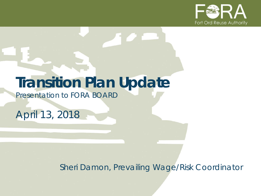

## **Transition Plan Update**

*Presentation to FORA BOARD*

*April 13, 2018*

*Sheri Damon, Prevailing Wage/Risk Coordinator*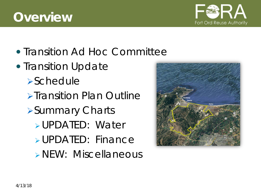#### **Overview**

- Transition Ad Hoc Committee
- Transition Update **>Schedule >Transition Plan Outline** Summary Charts UPDATED: Water UPDATED: Finance **> NEW: Miscellaneous**



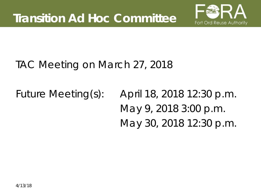

#### TAC Meeting on March 27, 2018

*Future Meeting(s)*: April 18, 2018 12:30 p.m. May 9, 2018 3:00 p.m. May 30, 2018 12:30 p.m.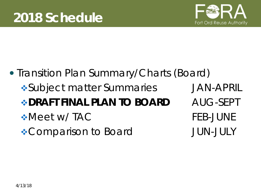

## • Transition Plan Summary/Charts (Board) Subject matter Summaries JAN-APRIL **BORAFT FINAL PLAN TO BOARD AUG-SEPT** \*Meet w/ TAC FEB-JUNE \*Comparison to Board JUN-JULY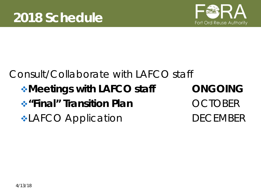

## Consult/Collaborate with LAFCO staff **Meetings with LAFCO staff CNGOING \*** "Final" Transition Plan **OCTOBER \*LAFCO Application** DECEMBER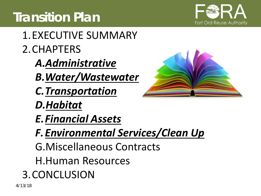## **Transition Plan**



- 1.EXECUTIVE SUMMARY 2.CHAPTERS
	- *A.Administrative*
	- *B.Water/Wastewater*
	- *C.Transportation*
	- *D.Habitat*
	- *E.Financial Assets*
	- *F.Environmental Services/Clean Up*
	- G.Miscellaneous Contracts
	- H.Human Resources
- 3.CONCLUSION

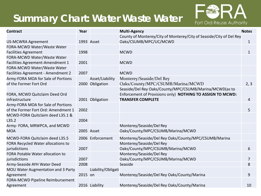#### **Summary Chart: Water Waste Water**



| <b>Contract</b>                         | Year    |                    | <b>Multi-Agency</b>                                                 | <b>Notes</b> |
|-----------------------------------------|---------|--------------------|---------------------------------------------------------------------|--------------|
|                                         |         |                    | County of Monterey/City of Monterey/City of Seaside/City of Del Rey |              |
| <b>US-MCWRA Agreement</b>               |         | 1993 Asset         | Oaks/CSUMB/MPC/UC/MCWD                                              | $\mathbf{1}$ |
| FORA-MCWD Water/Waste Water             |         |                    |                                                                     |              |
| <b>Facilities Agreement</b>             | 1998    |                    | <b>MCWD</b>                                                         | $\mathbf{1}$ |
| FORA-MCWD Water/Waste Water             |         |                    |                                                                     |              |
| Facilities Agreement-Amendment 1        | 2001    |                    | <b>MCWD</b>                                                         |              |
| FORA-MCWD Water/Waste Water             |         |                    |                                                                     |              |
| Facilities Agreement - Amendment 2      | 2007    |                    | <b>MCWD</b>                                                         |              |
| Army-FORA MOA for Sale of Portions      |         | Asset/Liability    | Monterey/Seaside/Del Rey                                            |              |
| of the Former Fort Ord                  |         | 2000 Obligation    | Oaks/County/MPC/CSUMB/Marina/MCWD                                   | 2, 3         |
|                                         |         |                    | Seaside/Del Rey Oaks/County/MPC/CSUMB/Marina/MCWD(as to             |              |
| FORA, MCWD Quitclaim Deed Ord           |         |                    | Enforcement of Provisions only) NOTHING TO ASSIGN TO MCWD:          |              |
| infrastructure                          |         | 2001 Obligation    | <b>TRANSFER COMPLETE</b>                                            | 4            |
| Army-FORA MOA for Sale of Portions      |         |                    |                                                                     |              |
| of the Former Fort Ord: Amendment 1     | 2002    |                    |                                                                     | 5            |
| MCWD-FORA Quitclaim deed L35.1 &        |         |                    |                                                                     |              |
| L35.2                                   | 2004    |                    |                                                                     |              |
| Army-FORA, MRWPCA, and MCWD             |         |                    | Monterey/Seaside/Del Rey                                            |              |
| <b>MOA</b>                              |         | 2005 Asset         | Oaks/County/MPC/CSUMB/Marina/MCWD                                   |              |
| MCWD-FORA Quitclaim deed L35.5          |         | 2006 Enforcement   | Monterey/Seaside/Del Rey Oaks/County/MPC/CSUMB/Marina               |              |
| FORA Recycled Water allocations to      |         |                    | Monterey/Seaside/Del Rey                                            |              |
| jurisdictions                           | 2007    |                    | Oaks/County/MPC/CSUMB/Marina/MCWD                                   | 6            |
| <b>FORA Potable Water allocation to</b> |         |                    | Monterey/Seaside/Del Rey                                            |              |
| jurisdictions                           | 2007    |                    | Oaks/County/MPC/CSUMB/Marina/MCWD                                   | 7            |
| Army-Seaside AYH Water Deed             | 2008    |                    | Seaside                                                             | 8            |
| MOU Water Augmentation and 3 Party      |         | Liability/Obligati |                                                                     |              |
| Agreement                               | 2015 on |                    | Monterey/Seaside/Del Rey Oaks/County/Marina                         | 9            |
| FORA-MCWD Pipeline Reimbursement        |         |                    |                                                                     |              |
| Agreement                               |         | 2016 Liability     | Monterey/Seaside/Del Rey Oaks/County/Marina                         | 10           |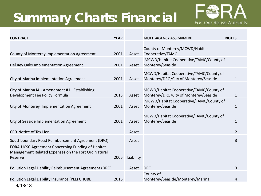# **Summary Charts: Financial**



| <b>CONTRACT</b>                                                                                                     | <b>YEAR</b> |           | <b>MULTI-AGENCY ASSIGNMENT</b>                                                   | <b>NOTES</b>   |
|---------------------------------------------------------------------------------------------------------------------|-------------|-----------|----------------------------------------------------------------------------------|----------------|
| County of Monterey Implementation Agreement                                                                         | 2001        | Asset     | County of Monterey/MCWD/Habitat<br>Cooperative/TAMC                              | $\mathbf{1}$   |
| Del Rey Oaks Implementation Agreement                                                                               |             | Asset     | MCWD/Habitat Cooperative/TAMC/County of<br>Monterey/Seaside                      | $\mathbf{1}$   |
| City of Marina Implementation Agreement                                                                             | 2001        | Asset     | MCWD/Habitat Cooperative/TAMC/County of<br>Monterey/DRO/City of Monterey/Seaside | $\mathbf 1$    |
| City of Marina IA - Amendment #1: Establishing<br>Development Fee Policy Formula                                    | 2013        | Asset     | MCWD/Habitat Cooperative/TAMC/County of<br>Monterey/DRO/City of Monterey/Seaside | 1              |
| City of Monterey Implementation Agreement                                                                           | 2001        | Asset     | MCWD/Habitat Cooperative/TAMC/County of<br>Monterey/Seaside                      | 1              |
| City of Seaside Implementation Agreement                                                                            | 2001        | Asset     | MCWD/Habitat Cooperative/TAMC/County of<br>Monterey/Seaside                      | 1              |
| <b>CFD-Notice of Tax Lien</b>                                                                                       |             | Asset     |                                                                                  | $\overline{2}$ |
| Southboundary Road Reimbursement Agreement (DRO)                                                                    |             | Asset     |                                                                                  | 3              |
| FORA-UCSC Agreement Concerning Funding of Habitat<br>Management Related Expenses on the Fort Ord Natural<br>Reserve | 2005        | Liability |                                                                                  |                |
| Pollution Legal Liability Reimbursement Agreement (DRO)                                                             |             | Asset     | <b>DRO</b>                                                                       | 3              |
| Pollution Legal Liability Insurance (PLL) CHUBB                                                                     | 2015        |           | County of<br>Monterey/Seaside/Monterey/Marina                                    | 4              |

4/13/18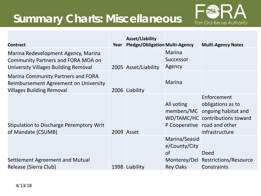#### **Summary Charts: Miscellaneous**



| <b>Contract</b>                                                                                                          | Year | <b>Asset/Liability</b><br><b>Pledge/Obligation Multi-Agency</b> |                                                         | <b>Multi-Agency Notes</b>                                                                                                                               |
|--------------------------------------------------------------------------------------------------------------------------|------|-----------------------------------------------------------------|---------------------------------------------------------|---------------------------------------------------------------------------------------------------------------------------------------------------------|
| Marina Redevelopment Agency, Marina<br><b>Community Partners and FORA MOA on</b><br>University Villages Building Removal |      | 2005 Asset/Liability                                            | Marina<br>Successor<br>Agency                           |                                                                                                                                                         |
| <b>Marina Community Partners and FORA</b><br>Reimbursement Agreement on University<br><b>Villages Building Removal</b>   |      | 2006 Liability                                                  | <b>Marina</b>                                           |                                                                                                                                                         |
| <b>Stipulation to Discharge Peremptory Writ</b><br>of Mandate (CSUMB)                                                    |      | 2009 Asset                                                      | All voting                                              | Enforcement<br>obligations as to<br>members/MC ongoing habitat and<br>WD/TAMC/HC contributions toward<br>P Cooperative road and other<br>infrastructure |
| Settlement Agreement and Mutual<br>Release (Sierra Club)                                                                 |      | 1998 Liability                                                  | Marina/Seasid<br>e/County/City<br><b>of</b><br>Rey Oaks | Deed<br>Monterey/Del Restrictions/Resource<br>Constraints                                                                                               |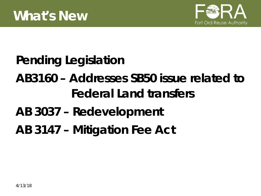

## *Pending Legislation*

# **AB3160 – Addresses SB50 issue related to Federal Land transfers**

### **AB 3037 – Redevelopment**

#### **AB 3147 – Mitigation Fee Act**